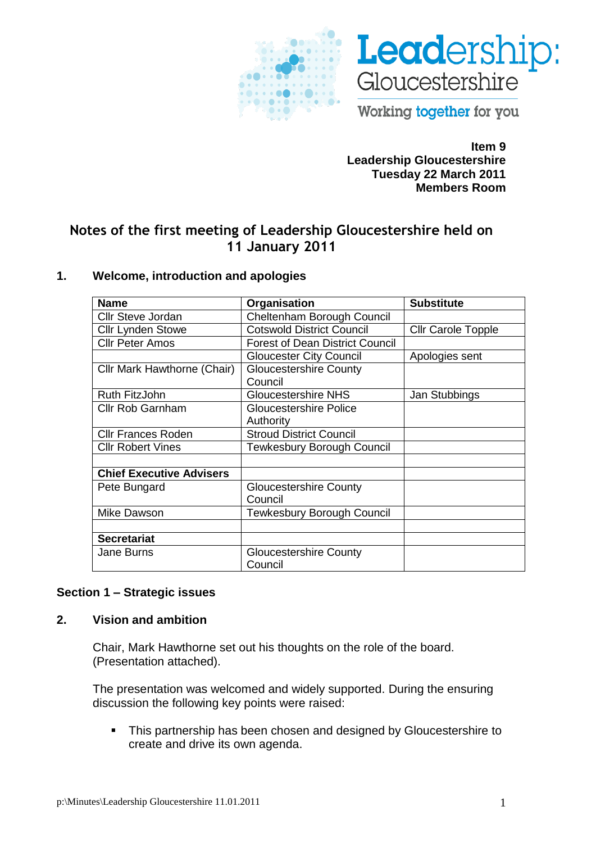



Working together for you

**Item 9 Leadership Gloucestershire Tuesday 22 March 2011 Members Room**

# **Notes of the first meeting of Leadership Gloucestershire held on 11 January 2011**

### **1. Welcome, introduction and apologies**

| <b>Name</b>                     | Organisation                           | <b>Substitute</b>         |
|---------------------------------|----------------------------------------|---------------------------|
| <b>Cllr Steve Jordan</b>        | Cheltenham Borough Council             |                           |
| <b>Cllr Lynden Stowe</b>        | <b>Cotswold District Council</b>       | <b>Cllr Carole Topple</b> |
| <b>Cllr Peter Amos</b>          | <b>Forest of Dean District Council</b> |                           |
|                                 | <b>Gloucester City Council</b>         | Apologies sent            |
| Cllr Mark Hawthorne (Chair)     | <b>Gloucestershire County</b>          |                           |
|                                 | Council                                |                           |
| Ruth FitzJohn                   | <b>Gloucestershire NHS</b>             | Jan Stubbings             |
| <b>Cllr Rob Garnham</b>         | <b>Gloucestershire Police</b>          |                           |
|                                 | Authority                              |                           |
| <b>CIIr Frances Roden</b>       | <b>Stroud District Council</b>         |                           |
| <b>Cllr Robert Vines</b>        | <b>Tewkesbury Borough Council</b>      |                           |
|                                 |                                        |                           |
| <b>Chief Executive Advisers</b> |                                        |                           |
| Pete Bungard                    | <b>Gloucestershire County</b>          |                           |
|                                 | Council                                |                           |
| Mike Dawson                     | <b>Tewkesbury Borough Council</b>      |                           |
|                                 |                                        |                           |
| <b>Secretariat</b>              |                                        |                           |
| <b>Jane Burns</b>               | <b>Gloucestershire County</b>          |                           |
|                                 | Council                                |                           |

# **Section 1 – Strategic issues**

### **2. Vision and ambition**

Chair, Mark Hawthorne set out his thoughts on the role of the board. (Presentation attached).

The presentation was welcomed and widely supported. During the ensuring discussion the following key points were raised:

• This partnership has been chosen and designed by Gloucestershire to create and drive its own agenda.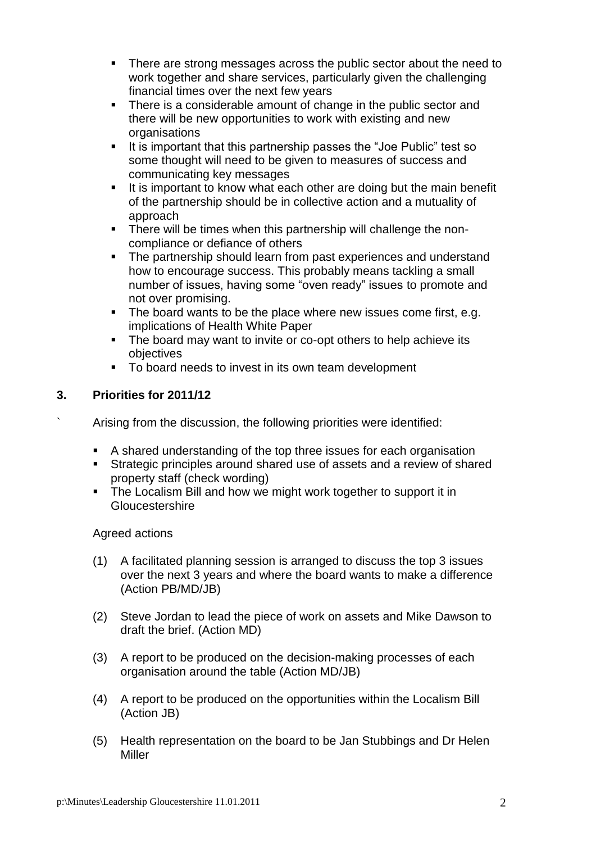- There are strong messages across the public sector about the need to work together and share services, particularly given the challenging financial times over the next few years
- There is a considerable amount of change in the public sector and there will be new opportunities to work with existing and new organisations
- If is important that this partnership passes the "Joe Public" test so some thought will need to be given to measures of success and communicating key messages
- It is important to know what each other are doing but the main benefit of the partnership should be in collective action and a mutuality of approach
- **There will be times when this partnership will challenge the non**compliance or defiance of others
- The partnership should learn from past experiences and understand how to encourage success. This probably means tackling a small number of issues, having some "oven ready" issues to promote and not over promising.
- The board wants to be the place where new issues come first, e.g. implications of Health White Paper
- The board may want to invite or co-opt others to help achieve its objectives
- To board needs to invest in its own team development

# **3. Priorities for 2011/12**

` Arising from the discussion, the following priorities were identified:

- A shared understanding of the top three issues for each organisation
- Strategic principles around shared use of assets and a review of shared property staff (check wording)
- The Localism Bill and how we might work together to support it in Gloucestershire

# Agreed actions

- (1) A facilitated planning session is arranged to discuss the top 3 issues over the next 3 years and where the board wants to make a difference (Action PB/MD/JB)
- (2) Steve Jordan to lead the piece of work on assets and Mike Dawson to draft the brief. (Action MD)
- (3) A report to be produced on the decision-making processes of each organisation around the table (Action MD/JB)
- (4) A report to be produced on the opportunities within the Localism Bill (Action JB)
- (5) Health representation on the board to be Jan Stubbings and Dr Helen Miller